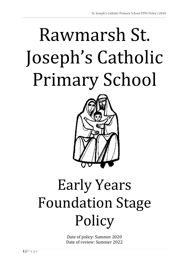# Rawmarsh St. Joseph's Catholic Primary School



# Early Years Foundation Stage **Policy**

Date of policy: Summer 2020 Date of review: Summer 2022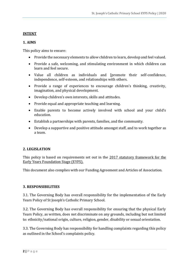# **INTENT**

# **1. AIMS**

This policy aims to ensure:

- Provide the necessary elements to allow children to learn, develop and feel valued.
- Provide a safe, welcoming, and stimulating environment in which children can learn and feel secure.
- Value all children as individuals and [promote their self-confidence, independence, self-esteem, and relationships with others.
- Provide a range of experiences to encourage children's thinking, creativity, imagination, and physical development.
- Develop children's own interests, skills and attitudes.
- Provide equal and appropriate teaching and learning.
- Enable parents to become actively involved with school and your child's education.
- Establish a partnerships with parents, families, and the community.
- Develop a supportive and positive attitude amongst staff, and to work together as a team.

# **2. LEGISLATION**

This policy is based on requirements set out in the 2017 statutory framework for the Early Years Foundation Stage (EYFS).

This document also complies with our Funding Agreement and Articles of Association.

# **3. RESPONSIBILITIES**

3.1. The Governing Body has overall responsibility for the implementation of the Early Years Policy of St Joseph's Catholic Primary School.

3.2. The Governing Body has overall responsibility for ensuring that the physical Early Years Policy, as written, does not discriminate on any grounds, including but not limited to: ethnicity/national origin, culture, religion, gender, disability or sexual orientation.

3.3. The Governing Body has responsibility for handling complaints regarding this policy as outlined in the School's complaints policy.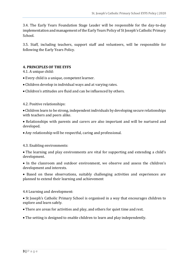3.4. The Early Years Foundation Stage Leader will be responsible for the day-to-day implementation and management of the Early Years Policy of St Joseph's Catholic Primary School.

3.5. Staff, including teachers, support staff and volunteers, will be responsible for following the Early Years Policy.

#### **4. PRINCIPLES OF THE EYFS**

4.1. A unique child:

- Every child is a unique, competent learner.
- Children develop in individual ways and at varying rates.
- Children's attitudes are fluid and can be influenced by others.

#### 4.2. Positive relationships:

 Children learn to be strong, independent individuals by developing secure relationships with teachers and peers alike.

 Relationships with parents and carers are also important and will be nurtured and developed.

Any relationship will be respectful, caring and professional.

#### 4.3. Enabling environments:

• The learning and play environments are vital for supporting and extending a child's development.

• In the classroom and outdoor environment, we observe and assess the children's development and interests.

 Based on these observations, suitably challenging activities and experiences are planned to extend their learning and achievement

4.4 Learning and development:

• St Joseph's Catholic Primary School is organised in a way that encourages children to explore and learn safely.

- There are areas for activities and play, and others for quiet time and rest.
- The setting is designed to enable children to learn and play independently.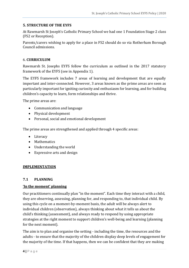#### **5. STRUCTURE OF THE EYFS**

At Rawmarsh St Joseph's Catholic Primary School we had one 1 Foundation Stage 2 class (FS2 or Reception).

Parents/carers wishing to apply for a place in FS2 should do so via Rotherham Borough Council admissions.

#### 6. **CURRICULUM**

Rawmarsh St. Josephs EYFS follow the curriculum as outlined in the 2017 statutory framework of the EYFS (see in Appendix 1).

The EYFS framework includes 7 areas of learning and development that are equally important and inter-connected. However, 3 areas known as the prime areas are seen as particularly important for igniting curiosity and enthusiasm for learning, and for building children's capacity to learn, form relationships and thrive.

The prime areas are:

- Communication and language
- Physical development
- Personal, social and emotional development

The prime areas are strengthened and applied through 4 specific areas:

- Literacy
- Mathematics
- Understanding the world
- Expressive arts and design

#### **IMPLEMENTATION**

#### **7.1 PLANNING**

#### **'In the moment' planning**

Our practitioners continually plan "in the moment". Each time they interact with a child, they are observing, assessing, planning for, and responding to, that individual child. By using this cycle on a moment-by-moment basis, the adult will be always alert to individual children (observation), always thinking about what it tells us about the child's thinking (assessment), and always ready to respond by using appropriate strategies at the right moment to support children's well-being and learning (planning for the next moment).

The aim is to plan and organise the setting - including the time, the resources and the adults - to ensure that the majority of the children display deep levels of engagement for the majority of the time. If that happens, then we can be confident that they are making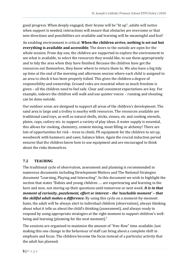good progress. When deeply engaged, their brains will be "lit up", adults will notice when support is needed, interactions will ensure that obstacles are overcome or that new directions and possibilities are available and learning will be meaningful and fun!!

An enabling environment is critical. **When the children arrive, nothing is set out but everything is available and accessible**. The doors to the outside are open for the whole session. From day one, the children are supported to explore the environment to see what is available, to select the resources they would like, to use them appropriately and to tidy the area when they have finished. Because the children have got the resources out themselves, they know where to return them to. We also have a big tidy up time at the end of the morning and afternoon session where each child is assigned to an area to check it has been properly tidied. This gives the children a degree of responsibility and ownership. Ground rules are essential when so much freedom is given – all the children need to feel safe. Clear and consistent expectations are key. For example, indoors the children will walk and use quieter voices – running and shouting can be done outside.

Our outdoor areas are designed to support all areas of the children's development. The sand area is large and a trolley is nearby with resources. The resources available are traditional sand toys, as well as natural shells, sticks, stones, etc and cooking utensils, plates, cups, cutlery etc. to support a variety of play ideas. A water supply is essential, this allows for cooking, chemistry, cement mixing, moat filling or alchemy! There are lots of opportunities for risk – trees to climb, PE equipment for the children to set up, woodwork with hammers and saws, balance bikes. Again the crucial induction period ensures that the children know how to use equipment and are encouraged to think about the risks themselves.

# **7.2 TEACHING**

The traditional cycle of observation, assessment and planning is recommended in numerous documents including Development Matters and The National Strategies document "Learning, Playing and Interacting". In this document we wish to highlight the section that states "Babies and young children …. are experiencing and learning in the here and now, not storing up their questions until tomorrow or next week. *It is in that moment of curiosity, puzzlement, effort or interest – the 'teachable moment' – that the skillful adult makes a difference***.** By using this cycle on a moment-by-moment basis, the adult will be always alert to individual children (observation), always thinking about what it tells us about the child's thinking (assessment), and always ready to respond by using appropriate strategies at the right moment to support children's wellbeing and learning (planning for the next moment)."

The sessions are organised to maximise the amount of "free-flow" time available. Just making this one change in the behaviour of staff can bring about a complete shift in emphasis and focus. The children become the focus instead of a particular activity that the adult has planned.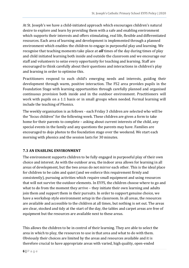At St. Joseph's we have a child-initiated approach which encourages children's natural desire to explore and learn by providing them with a safe and enabling environment which supports their interests and offers stimulating, real life, flexible and differentiated resources. Each area of learning and development is implemented through a planned environment which enables the children to engage in purposeful play and learning. We recognise that teaching moments take place at *all* times of the day during times of play and child initiated learning both inside and outside the classroom and we encourage our staff and volunteers to seize every opportunity for teaching and learning. Staff are encouraged to think carefully about their questions and interactions in children's play and learning in order to optimise this.

Practitioners respond to each child's emerging needs and interests, guiding their development through warm, positive interaction. The FS2 area provides pupils in the Foundation Stage with learning opportunities through carefully planned and organised continuous provision both inside and in the outdoor environment. Practitioners will work with pupils on a 1:1 basis or in small groups when needed. Formal learning will include the teaching of Phonics.

The weekly organisation is as follows - each Friday 3 children are selected who will be the "focus children" for the following week. These children are given a form to take home for their parents to complete – asking about current interests of the child, any special events in the family and any questions the parents may have. Families are encouraged to dojo photos to the foundation stage over the weekend. We start each morning with phonics and the session lasts for 30 minutes.

# **7.3 AN ENABLING ENVIRONMENT**

The environment supports children to be fully engaged in purposeful play of their own choice and interest. As with the outdoor area, the indoor area allows for learning in all areas of development, but the two areas do not mirror each other. This is the ideal place for children to be calm and quiet (and we enforce this requirement firmly and consistently), pursuing activities which require small equipment and using resources that will not survive the outdoor elements. In EYFS, the children choose where to go and what to do from the moment they arrive – they initiate their own learning and adults join them and support them in their pursuits. In order to support genuine choice, we have a workshop style environment setup in the classroom. In all areas, the resources are available and accessible to the children at all times, but nothing is set out. The areas are clear, stocked and tidy at the start of the day, the tables and carpet areas are free of equipment but the resources are available next to these areas.

This allows the children to be in control of their learning. They are able to select the area in which to play, the resources to use in that area and what to do with them. Obviously their choices are limited by the areas and resources available and it is therefore crucial to have appropriate areas with varied, high quality, open-ended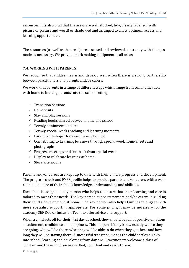resources. It is also vital that the areas are well stocked, tidy, clearly labelled (with picture or picture and word) or shadowed and arranged to allow optimum access and learning opportunities.

The resources (as well as the areas) are assessed and reviewed constantly with changes made as necessary. We provide mark making equipment in all areas

# **7.4. WORKING WITH PARENTS**

We recognise that children learn and develop well when there is a strong partnership between practitioners and parents and/or carers.

We work with parents in a range of different ways which range from communication with home to inviting parents into the school setting:

- $\checkmark$  Transition Sessions
- $\checkmark$  Home visits
- $\checkmark$  Stay and play sessions
- $\checkmark$  Reading books shared between home and school
- $\checkmark$  Termly attainment updates
- $\checkmark$  Termly special week teaching and learning moments
- $\checkmark$  Parent workshops (for example on phonics)
- $\checkmark$  Contributing to Learning Journeys through special week home sheets and photographs
- $\checkmark$  Progress meetings and feedback from special week
- $\checkmark$  Display to celebrate learning at home
- $\checkmark$  Story afternoons

Parents and/or carers are kept up to date with their child's progress and development. The progress check and EYFS profile helps to provide parents and/or carers with a wellrounded picture of their child's knowledge, understanding and abilities.

Each child is assigned a key person who helps to ensure that their learning and care is tailored to meet their needs. The key person supports parents and/or carers in guiding their child's development at home. The key person also helps families to engage with more specialist support, if appropriate. For some pupils, it may be necessary for the academy SENDCo or Inclusion Team to offer advice and support.

When a child sets off for their first day at school, they should be full of positive emotions – excitement, confidence and happiness. This happens if they know exactly where they are going, who will be there, what they will be able to do when they get there and how long they will be staying there. A successful transition means the child settles quickly into school, learning and developing from day one. Practitioners welcome a class of children and these children are settled, confident and ready to learn.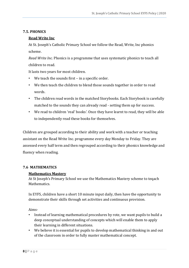# **7.5. PHONICS**

# **Read Write Inc**

At St. Joseph's Catholic Primary School we follow the Read, Write, Inc phonics scheme.

*Read Write Inc.* Phonics is a programme that uses systematic phonics to teach all children to read.

It lasts two years for most children.

- We teach the sounds first  $-$  in a specific order.
- We then teach the children to blend those sounds together in order to read words.
- The children read words in the matched Storybooks. Each Storybook is carefully matched to the sounds they can already read - setting them up for success.
- We read to children 'real' books*'.* Once they have learnt to read, they will be able to independently read these books for themselves.

Children are grouped according to their ability and work with a teacher or teaching assistant on the Read Write Inc. programme every day Monday to Friday. They are assessed every half term and then regrouped according to their phonics knowledge and fluency when reading.

# **7.6 MATHEMATICS**

#### **Mathematics Mastery**

At St Joseph's Primary School we use the Mathematics Mastery scheme to teqach Mathematics.

In EYFS, children have a short 10 minute input daily, then have the opportunity to demonstrate their skills through set activities and continuous provision.

Aims-

- Instead of learning mathematical procedures by rote, we want pupils to build a deep conceptual understanding of concepts which will enable them to apply their learning in different situations.
- We believe it is essential for pupils to develop mathematical thinking in and out of the classroom in order to fully master mathematical concept.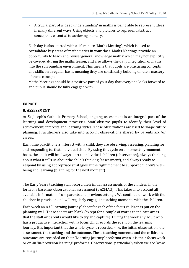• A crucial part of a 'deep understanding' in maths is being able to represent ideas in many different ways. Using objects and pictures to represent abstract concepts is essential to achieving mastery.

Each day is also started with a 10 minute "Maths Meeting", which is used to consolidate key areas of mathematics in your class. Maths Meetings provide an opportunity to teach and revise 'general knowledge maths' which may not explicitly be covered during the maths lesson, and also allows the daily integration of maths into the surrounding environment. This means that pupils are practising concepts and skills on a regular basis, meaning they are continually building on their mastery of these concepts.

Maths Meetings should be a positive part of your day that everyone looks forward to and pupils should be fully engaged with.

### **IMPACT**

### **8. ASSESSMENT**

At St Joseph's Catholic Primary School, ongoing assessment is an integral part of the learning and development processes. Staff observe pupils to identify their level of achievement, interests and learning styles. These observations are used to shape future planning. Practitioners also take into account observations shared by parents and/or carers.

Each time practitioners interact with a child, they are observing, assessing, planning for, and responding to, that individual child. By using this cycle on a moment-by-moment basis, the adult will be always alert to individual children (observation), always thinking about what it tells us about the child's thinking (assessment), and always ready to respond by using appropriate strategies at the right moment to support children's wellbeing and learning (planning for the next moment).

The Early Years teaching staff record their initial assessments of the children in the form of a baseline, observational assessment (EAZMAG). This takes into account all available information from parents and previous settings. We continue to work with the children in provision and will regularly engage in teaching moments with the children.

Each week an A3 "Learning Journey" sheet for each of the focus children is put on the planning wall. These sheets are blank (except for a couple of words to indicate areas that the staff or parents would like to try and capture). During the week any adult who has a productive interaction with a focus child records the event on the learning journey. It is important that the whole cycle is recorded – i.e. the initial observation, the assessment, the teaching and the outcome. These teaching moments and the children's outcomes are recorded on their 'Learning Journey' proforma when it is their focus week or on an 'In-provision learning' proforma. Observations, particularly when we see 'wow'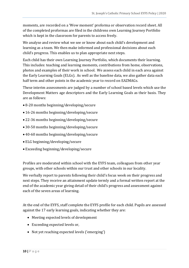moments, are recorded on a 'Wow moment' proforma or observation record sheet. All of the completed proformas are filed in the childrens own Learning Journey Portfolio which is kept in the classroom for parents to access freely.

We analyse and review what we see or know about each child's development and learning as a team. We then make informed and professional decisions about each child's progress. This enables us to plan appropriate next steps.

Each child has their own Learning Journey Portfolio, which documents their learning. This includes: teaching and learning moments, contributions from home, observations, photos and examples of their work in school. We assess each child in each area against the Early Learning Goals (ELGs). As well as the baseline data, we also gather data each half term and other points in the academic year to record on EAZMAGs.

These interim assessments are judged by a number of school based levels which use the Development Matters age descriptors and the Early Learning Goals as their basis. They are as follows:

- 8-20 months beginning/developing/secure
- 16-26 months beginning/developing/secure
- 22-36 months beginning/developing/secure
- 30-50 months beginning/developing/secure
- 40-60 months beginning/developing/secure
- ELG beginning/developing/secure
- Exceeding beginning/developing/secure

Profiles are moderated within school with the EYFS team, colleagues from other year groups, with other schools within our trust and other schools in our locality.

We verbally report to parents following their child's focus week on their progress and next steps. They receive an attainment update termly and a formal written report at the end of the academic year giving detail of their child's progress and assessment against each of the seven areas of learning.

At the end of the EYFS, staff complete the EYFS profile for each child. Pupils are assessed against the 17 early learning goals, indicating whether they are:

- Meeting expected levels of development
- Exceeding expected levels or,
- Not yet reaching expected levels ('emerging')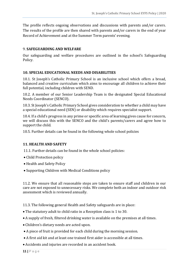The profile reflects ongoing observations and discussions with parents and/or carers. The results of the profile are then shared with parents and/or carers in the end of year Record of Achievement and at the Summer Term parents' evening.

#### 9. **SAFEGUARDING AND WELFARE**

Our safeguarding and welfare procedures are outlined in the school's Safeguarding Policy.

#### **10. SPECIAL EDUCATIONAL NEEDS AND DISABILITIES**

10.1. St Joseph's Catholic Primary School is an inclusive school which offers a broad, balanced and creative curriculum which aims to encourage all children to achieve their full potential, including children with SEND.

10.2. A member of our Senior Leadership Team is the designated Special Educational Needs Coordinator (SENCO).

10.3. St Joseph's Catholic Primary School gives consideration to whether a child may have a special educational need (SEN) or disability which requires specialist support.

10.4. If a child's progress in any prime or specific area of learning gives cause for concern, we will discuss this with the SENCO and the child's parents/carers and agree how to support the child.

10.5. Further details can be found in the following whole school policies

#### **11. HEALTH AND SAFETY**

11.1. Further details can be found in the whole school policies:

- Child Protection policy
- Health and Safety Policy
- Supporting Children with Medical Conditions policy

11.2. We ensure that all reasonable steps are taken to ensure staff and children in our care are not exposed to unnecessary risks. We complete both an indoor and outdoor risk assessment which is reviewed annually.

11.3. The following general Health and Safety safeguards are in place:

- The statutory adult to child ratio in a Reception class is 1 to 30.
- A supply of fresh, filtered drinking water is available on the premises at all times.
- Children's dietary needs are acted upon.
- A piece of fruit is provided for each child during the morning session.
- A first aid kit and at least one trained first aider is accessible at all times.
- Accidents and injuries are recorded in an accident book.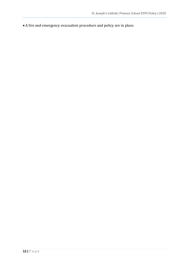A fire and emergency evacuation procedure and policy are in place.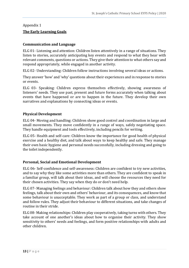# Appendix 1 **The Early Learning Goals**

## **Communication and Language**

ELG 01- Listening and attention: Children listen attentively in a range of situations. They listen to stories, accurately anticipating key events and respond to what they hear with relevant comments, questions or actions. They give their attention to what others say and respond appropriately, while engaged in another activity.

ELG 02- Understanding: Children follow instructions involving several ideas or actions.

They answer 'how' and 'why' questions about their experiences and in response to stories or events.

ELG 03- Speaking: Children express themselves effectively, showing awareness of listeners' needs. They use past, present and future forms accurately when talking about events that have happened or are to happen in the future. They develop their own narratives and explanations by connecting ideas or events.

### **Physical Development**

ELG 04- Moving and handling: Children show good control and coordination in large and small movements. They move confidently in a range of ways, safely negotiating space. They handle equipment and tools effectively, including pencils for writing.

ELG 05- Health and self-care: Children know the importance for good health of physical exercise and a healthy diet, and talk about ways to keep healthy and safe. They manage their own basic hygiene and personal needs successfully, including dressing and going to the toilet independently.

# **Personal, Social and Emotional Development**

ELG 06- Self-confidence and self-awareness: Children are confident to try new activities, and to say why they like some activities more than others. They are confident to speak in a familiar group, will talk about their ideas, and will choose the resources they need for their chosen activities. They say when they do or don't need help.

ELG 07- Managing feelings and behaviour: Children talk about how they and others show feelings, talk about their own and others' behaviour, and its consequences, and know that some behaviour is unacceptable. They work as part of a group or class, and understand and follow rules. They adjust their behaviour to different situations, and take changes of routine in their stride.

ELG 08- Making relationships: Children play cooperatively, taking turns with others. They take account of one another's ideas about how to organise their activity. They show sensitivity to others' needs and feelings, and form positive relationships with adults and other children.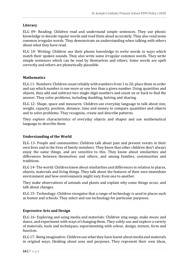# **Literacy**

ELG 09- Reading: Children read and understand simple sentences. They use phonic knowledge to decode regular words and read them aloud accurately. They also read some common irregular words. They demonstrate an understanding when talking with others about what they have read.

ELG 10- Writing: Children use their phonic knowledge to write words in ways which match their spoken sounds. They also write some irregular common words. They write simple sentences which can be read by themselves and others. Some words are spelt correctly and others are phonetically plausible.

### **Mathematics**

ELG 11-Numbers: Children count reliably with numbers from 1 to 20, place them in order and say which number is one more or one less than a given number. Using quantities and objects, they add and subtract two single-digit numbers and count on or back to find the answer. They solve problems, including doubling, halving and sharing.

ELG 12- Shape, space and measures: Children use everyday language to talk about size, weight, capacity, position, distance, time and money to compare quantities and objects and to solve problems. They recognise, create and describe patterns.

They explore characteristics of everyday objects and shapes and use mathematical language to describe them.

# **Understanding of the World**

ELG 13- People and communities: Children talk about past and present events in their own lives and in the lives of family members. They know that other children don't always enjoy the same things, and are sensitive to this. They know about similarities and differences between themselves and others, and among families, communities and traditions.

ELG 14- The world: Children know about similarities and differences in relation to places, objects, materials and living things. They talk about the features of their own immediate environment and how environments might vary from one to another.

They make observations of animals and plants and explain why some things occur, and talk about changes.

ELG 15- Technology: Children recognise that a range of technology is used in places such as homes and schools. They select and use technology for particular purposes.

# **Expressive Arts and Design**

ELG 16- Exploring and using media and materials: Children sing songs, make music and dance, and experiment with ways of changing them. They safely use and explore a variety of materials, tools and techniques, experimenting with colour, design, texture, form and function.

ELG 17- Being imaginative: Children use what they have learnt about media and materials in original ways, thinking about uses and purposes. They represent their own ideas,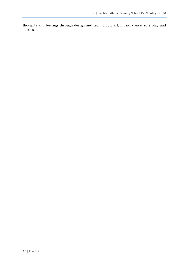thoughts and feelings through design and technology, art, music, dance, role play and stories.